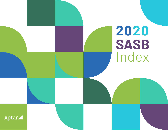

Aptar<sup>2</sup>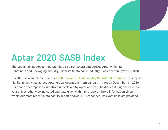# **Aptar 2020 SASB Index**

The Sustainability Accounting Standards Board (SASB) categorizes Aptar within its Containers and Packaging Industry, under its Sustainable Industry Classification System (SICS).

Our SASB is a supplement to our [2020 Corporate Sustainability Report and GRI Index](https://www.aptar.com/resources/2020-sustainability-report-and-gri-index/). This report highlights activities across Aptar global operations from January 1 through December 31, 2020. Our scope encompasses initiatives undertaken by Aptar and its subsidiaries during the calendar year unless otherwise indicated and data given within this report mirrors information given within our most recent sustainability report and/or CDP responses. Relevant links are provided.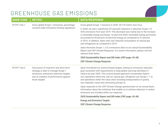#### GREENHOUSE GAS EMISSIONS

| <b>SASB CODE</b> | <b>METRIC</b>                                                                                                                                                                      | <b>DATA/RESPONSE</b>                                                                                                                                                                                                                                                                                                                                                                                                                                |
|------------------|------------------------------------------------------------------------------------------------------------------------------------------------------------------------------------|-----------------------------------------------------------------------------------------------------------------------------------------------------------------------------------------------------------------------------------------------------------------------------------------------------------------------------------------------------------------------------------------------------------------------------------------------------|
| RT-CP-110a.1     | Gross global Scope 1 emissions, percentage<br>covered under emissions-limiting regulations                                                                                         | Gross global Scope 1 missions in 2020: 20,770 metric tons CO <sub>2</sub> e                                                                                                                                                                                                                                                                                                                                                                         |
|                  |                                                                                                                                                                                    | In 2020, we saw a significant (57 percent) reduction in absolute Scope 1+2<br>GHG emissions from year 2019. This decrease was mainly due to the increase<br>in renewable energy purchases. At year-end 2020, renewable energy purchases<br>accounted for 85 percent of electrical energy as compared to 57 percent<br>in 2019. In addition, Aptar sites saw reduced consumption of natural gas<br>and refrigerants as compared to 2019.             |
|                  |                                                                                                                                                                                    | Aptar discloses Scope 1, 2 & 3 emissions data on our annual Sustainability<br>Report and CDP Climate Response. For recent information, please visit the<br>relevant links below.                                                                                                                                                                                                                                                                    |
|                  |                                                                                                                                                                                    | 2020 Sustainability Report and GRI Index (PDF page: 45-48)                                                                                                                                                                                                                                                                                                                                                                                          |
|                  |                                                                                                                                                                                    | <b>CDP Climate Change Response</b>                                                                                                                                                                                                                                                                                                                                                                                                                  |
| RT-CP-110a.2     | Discussion of long-term and short-term<br>strategy or plan to manage Scope 1<br>emissions, emissions reduction targets,<br>and an analysis of performance against<br>those targets | Aptar formalized our science-based targets, setting an emissions reduction<br>goal consistent with requirements to keep global warming well-below 2°<br>Celsius by year 2030. This science-based approach incorporates Aptar's<br>own operations electricity, fuel oil, natural gas, refrigerant use (Scope $1 + 2$ )<br>and operations within the value chain including transportation of goods,<br>raw materials, travel and commuting (Scope 3). |
|                  |                                                                                                                                                                                    | Aptar responds to the CDP Climate Change questionnaire on an annual basis.<br>Information about the initiatives that enable us to achieve reduction in carbon<br>emissions are included within our response.                                                                                                                                                                                                                                        |
|                  |                                                                                                                                                                                    | 2020 Sustainability Report and GRI Index (PDF page: 45-48)                                                                                                                                                                                                                                                                                                                                                                                          |
|                  |                                                                                                                                                                                    | <b>Energy and Emissions Targets</b>                                                                                                                                                                                                                                                                                                                                                                                                                 |
|                  |                                                                                                                                                                                    | <b>CDP Climate Change Response</b>                                                                                                                                                                                                                                                                                                                                                                                                                  |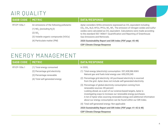### AIR QUALITY

| <b>SASB CODE</b> | <b>METRIC</b>                                                                                                                                                      | <b>DATA/RESPONSE</b>                                                                                                                                                                                                                                                                                                                                                                                                                 |
|------------------|--------------------------------------------------------------------------------------------------------------------------------------------------------------------|--------------------------------------------------------------------------------------------------------------------------------------------------------------------------------------------------------------------------------------------------------------------------------------------------------------------------------------------------------------------------------------------------------------------------------------|
| RT-CP-120a.1     | Air emissions of the following pollutants:<br>$(1)$ NO <sub>x</sub> (excluding N <sub>2</sub> O)<br>$(2)$ SO <sub>y</sub><br>(3) Volatile organic compounds (VOCs) | Aptar considers GHGs emissions expressed as CO <sub>2</sub> equivalent including<br>$CO2$ , CH <sub>4</sub> , N <sub>2</sub> O, HFCs, PFCs, SF <sub>6</sub> , NF <sub>3</sub> . The emission of nitrogen oxides and sulfur<br>oxides were calculated as CO <sub>2</sub> equivalent. Calculations were made according<br>to the standard ISO 14064-1 Quantification and Reporting of Greenhouse<br><b>Gas Emissions and Removals.</b> |
|                  | (4) Particulate matter (PM)                                                                                                                                        | 2020 Sustainability Report and GRI Index (PDF page: 45-48)<br><b>CDP Climate Change Response</b>                                                                                                                                                                                                                                                                                                                                     |

#### ENERGY MANAGEMENT

| <b>SASB CODE</b> | <b>METRIC</b>                                                                            | <b>DATA/RESPONSE</b>                                                                                                                                                                                                                                                                                                                                                                |
|------------------|------------------------------------------------------------------------------------------|-------------------------------------------------------------------------------------------------------------------------------------------------------------------------------------------------------------------------------------------------------------------------------------------------------------------------------------------------------------------------------------|
| RT-CP-130a.1     | (1) Total energy consumed<br>(2) Percentage grid electricity<br>(3) Percentage renewable | In 2020,<br>(1) Total energy (electricity) consumption: 557,438,586 KWH<br>Natural gas and fuels total energy use: 650,255,245                                                                                                                                                                                                                                                      |
|                  | (4) Total self-generated energy                                                          | (2) Percentage grid electricity: All purchased electricity is sourced<br>from the grid. Aptar does not include self-generated electricity.                                                                                                                                                                                                                                          |
|                  |                                                                                          | (3) Percentage of global electricity consumption coming from<br>renewable sources: 85 percent<br>Looking ahead, as a part of our science-based targets, Aptar is<br>investigating ways to increase our renewable energy purchases.<br>A list of Aptar sites sourcing renewable energy and additional information<br>about our energy consumption can be found within our GRI Index. |
|                  |                                                                                          | (4) Total self-generated energy: Not applicable                                                                                                                                                                                                                                                                                                                                     |
|                  |                                                                                          | 2020 Sustainability Report and GRI Index (PDF page: 41-42 & 48)                                                                                                                                                                                                                                                                                                                     |
|                  |                                                                                          | <b>CDP Climate Change Response</b>                                                                                                                                                                                                                                                                                                                                                  |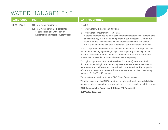#### WATER MANAGEMENT

#### **SASB CODE METRIC DATA/RESPONSE**

- RT-CP-140a.1 (1) Total water withdrawn
	- (2) Total water consumed, percentage of each in regions with High or Extremely High Baseline Water Stress

#### In 2020,

- (1) Total water withdrawn: 6,888,932 M3
- (2) Total water consumption: 115,615 M3

Water is not identified as a critically material indicator by our stakeholders and is not a key raw material component in our processes. Most of our manufacturing facilities have closed loop water systems and overall Aptar sites consume less than 2 percent of our total water withdrawal.

In 2021, Aptar conducted water risk assessment with the WRI Aqueduct tool and its database highlighted high physical risk quantity especially related to water stress (water stress measures the ratio of total water withdrawals to available renewable surface and groundwater supplies).

Through this process 13 Aptar sites (about 25 percent) were identified that are located in high or extremely high water stress areas (three sites in Asia, seven sites in Europe and three sites in Latin America). The proportion of water withdrawn from areas with water stress (medium risk — extremely high risk) for 2020 is 10 percent.

We report more details within the CDP Water Questionnaire.

With the newly launched EHStar metrics module, we have increased visibility to our water data allowing for improvements and progress tracking in future years.

**[2020 Sustainability Report and GRI Index \(PDF page: 43\)](https://www.aptar.com/resources/2020-sustainability-report-and-gri-index/)**

**[CDP Water Response](https://www.aptar.com/wp-content/uploads/2021/03/Aptar-2020-CDP-Water-Security-Questionnaire-Response.pdf)**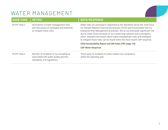## WATER MANAGEMENT

| <b>SASB CODE</b> | <b>METRIC</b>                                                                                                  | <b>DATA/RESPONSE</b>                                                                                                                                                                                                                                                                                                                                                                                                                                                        |
|------------------|----------------------------------------------------------------------------------------------------------------|-----------------------------------------------------------------------------------------------------------------------------------------------------------------------------------------------------------------------------------------------------------------------------------------------------------------------------------------------------------------------------------------------------------------------------------------------------------------------------|
| RT-CP-140a.2     | Description of water management risks<br>and discussion of strategies and practices<br>to mitigate those risks | Water risks are assessed in alignment to the standards set by the Task Force<br>for Climate Related Financial Disclosures (TCFD) and incorporated into our<br>Enterprise Risk Management processes. We do not anticipate significant risk<br>due to water stress because of our closed loop systems and contingency<br>plans. Detailed information about water management risks and strategies<br>to mitigate those risks can be found within the most recent CDP response. |
|                  |                                                                                                                | 2020 Sustainability Report and GRI Index (PDF page: 43)                                                                                                                                                                                                                                                                                                                                                                                                                     |
|                  |                                                                                                                | <b>CDP Water Response</b>                                                                                                                                                                                                                                                                                                                                                                                                                                                   |
| RT-CP-140a.3     | Number of incidents of non-compliance<br>associated with water quality permits,<br>standards, and regulations  | There were no incidents of water related non-compliance<br>within the reporting year.                                                                                                                                                                                                                                                                                                                                                                                       |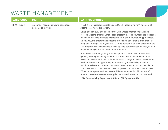### WASTE MANAGEMENT

| <b>SASB CODE</b> | <b>METRIC</b>                                               | <b>DATA/RESPONSE</b>                                                                                                                                                                                                                                                                                                                                                                                                                                                                                                                                                                                                                                                                                            |
|------------------|-------------------------------------------------------------|-----------------------------------------------------------------------------------------------------------------------------------------------------------------------------------------------------------------------------------------------------------------------------------------------------------------------------------------------------------------------------------------------------------------------------------------------------------------------------------------------------------------------------------------------------------------------------------------------------------------------------------------------------------------------------------------------------------------|
| RT-CP-150a.1     | Amount of hazardous waste generated,<br>percentage recycled | In 2020, total hazardous waste was 3,443 MT, accounting for 10 percent of<br>Aptar's total waste generation.<br>Established in 2013 and based on the Zero Waste International Alliance<br>protocol, Aptar's internal Landfill Free program (LFF) encourages the reduction,<br>reuse and recycling of waste byproducts from our manufacturing processes.<br>Since 2013, the program has become a focus initiative that is integrated into<br>our global strategy. As of year-end 2020, 53 percent of all sites certified to the<br>LFF program. These sites have proven, by third-party verification audit, at least<br>90 percent recycle/reuse of operational wastes.                                          |
|                  |                                                             | Aptar collects data regarding waste disposal amounts from all locations<br>globally monthly, including total nonhazardous waste to landfill and total<br>hazardous waste. With the implementation of our digital Landfill Free metrics<br>module, there is the opportunity for increased global visibility to waste<br>and disposal records. We are now able to monitor waste disposal avoidance<br>in all sites, not just LFF certified sites. At year-end 2020, Aptar sites achieved<br>77 percent disposal avoidance ratio. This ratio means that 77 percent of<br>Aptar's operational wastes are recycled, recovered, reused and/or returned.<br>2020 Sustainability Report and GRI Index (PDF page: 48-49) |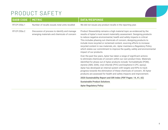### PRODUCT SAFETY

| <b>SASB CODE</b> | <b>METRIC</b>                                                                               | <b>DATA/RESPONSE</b>                                                                                                                                                                                                                                                                                                                                                                                                                                                                                                                                                                                                                                                                                                                                                                                                                                                                                                                                               |
|------------------|---------------------------------------------------------------------------------------------|--------------------------------------------------------------------------------------------------------------------------------------------------------------------------------------------------------------------------------------------------------------------------------------------------------------------------------------------------------------------------------------------------------------------------------------------------------------------------------------------------------------------------------------------------------------------------------------------------------------------------------------------------------------------------------------------------------------------------------------------------------------------------------------------------------------------------------------------------------------------------------------------------------------------------------------------------------------------|
| RT-CP-250a.1     | Number of recalls issued, total units recalled                                              | We did not issues any product recalls in the reporting year.                                                                                                                                                                                                                                                                                                                                                                                                                                                                                                                                                                                                                                                                                                                                                                                                                                                                                                       |
| RT-CP-250a.2     | Discussion of process to identify and manage<br>emerging materials and chemicals of concern | Product Stewardship remains a high material topic as evidenced by the<br>results of Aptar's most recent materiality assessment. Designing products<br>to reduce negative environmental, health and safety impacts is critical.<br>This includes phasing out chemicals of concern, designing products to<br>include more recycled or reclaimed content, sourcing efforts to increase<br>recycled content in raw materials, etc. Aptar maintains a Regulatory Policy<br>which states our commitment to improve the quality, safety and environmental<br>impact of our products.<br>Over the past few years, Aptar has taken a range of significant actions<br>to eliminate chemicals of concern within our own product lines. Materials<br>identified for phase out of Aptar products include: formaldehyde (POM),<br>styrene (ABS, SAN), vinyl chloride (PVC) and bisphenol A (PC, epoxy).<br>Aptar has developed an internal system with targets and KPIs to track |
|                  |                                                                                             | progress towards the elimination of these chemicals of concern. All Aptar<br>products are assessed for health and safety impacts and improvement.                                                                                                                                                                                                                                                                                                                                                                                                                                                                                                                                                                                                                                                                                                                                                                                                                  |
|                  |                                                                                             | 2020 Sustainability Report and GRI Index (PDF Pages: 14, 41, 62)                                                                                                                                                                                                                                                                                                                                                                                                                                                                                                                                                                                                                                                                                                                                                                                                                                                                                                   |
|                  |                                                                                             | <b>Sustainable Product Solutions</b>                                                                                                                                                                                                                                                                                                                                                                                                                                                                                                                                                                                                                                                                                                                                                                                                                                                                                                                               |
|                  |                                                                                             | <b>Aptar Regulatory Policy</b>                                                                                                                                                                                                                                                                                                                                                                                                                                                                                                                                                                                                                                                                                                                                                                                                                                                                                                                                     |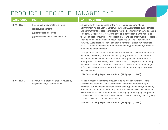## PRODUCT LIFECYCLE MANAGEMENT

| <b>SASB CODE</b> | <b>METRIC</b>                                                                                                              | <b>DATA/RESPONSE</b>                                                                                                                                                                                                                                                                                                                                                                                                                                                                                                                                                                                                                                                         |
|------------------|----------------------------------------------------------------------------------------------------------------------------|------------------------------------------------------------------------------------------------------------------------------------------------------------------------------------------------------------------------------------------------------------------------------------------------------------------------------------------------------------------------------------------------------------------------------------------------------------------------------------------------------------------------------------------------------------------------------------------------------------------------------------------------------------------------------|
| RT-CP-410a.1     | Percentage of raw materials from:<br>(1) Recycled content<br>(2) Renewable resources<br>(3) Renewable and recycled content | As aligned with the guidelines of the New Plastics Economy Global<br>Commitment via the Ellen MacArthur Foundation, Aptar stated public targets<br>and commitments related to increasing recycled content within our dispensing<br>solutions. Globally, Aptar worked to develop a conversion plan to maximize<br>the use of post-consumer recycled resin (PCR) and use of renewable feedstock,<br>such as bio-based materials, to reduce fossil fuel use. As reported within<br>our 2020 Sustainability Report, less than 1 percent of plastic raw materials<br>are PCR for our dispensing solutions for the beauty, personal care, home care,<br>food and beverage markets. |
|                  |                                                                                                                            | Through 2020, our Product Sustainability Teams worked to better understand<br>the quality and supply of PCR resins and qualify materials. A detailed PCR<br>conversion plan has been drafted to meet our targets and commitment for<br>Aptar products like closures, aerosol accessories, spray pumps, lotion pumps,<br>and airless solutions. Our current priority is to convert our main technologies<br>to fully recyclable, mono-material solutions, while also working to use more<br>recycled resins.                                                                                                                                                                  |
|                  |                                                                                                                            | 2020 Sustainability Report and GRI Index (PDF page: 3, 14-17)                                                                                                                                                                                                                                                                                                                                                                                                                                                                                                                                                                                                                |
| RT-CP-410a.2     | Revenue from products that are reusable,<br>recyclable, and/or compostable                                                 | While not measured in terms of revenue, as reported in our most recent<br>New Plastics Economy Global Commitment reporting, approximately 57<br>percent of our dispensing solutions for the beauty, personal care, home care,<br>food and beverage markets are recyclable. In this case, recyclable is defined<br>by the Ellen MacArthur Foundation as "a packaging or packaging component<br>is recyclable if its successful post-consumer collection, sorting, and recycling<br>is proven to work in practice and at scale."<br>2020 Sustainability Report and GRI Index (PDF page: 3, 14-17)                                                                              |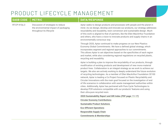## PRODUCT LIFECYCLE MANAGEMENT

#### **SASB CODE** METRIC **DATA/RESPONSE**

RT-CP-410a.3 Discussion of strategies to reduce the environmental impact of packaging throughout its lifecycle

Aptar seeks to design products and processes with people and the planet in mind. As we design, develop and innovate our products, our strategy addresses recyclability and reusability, resin conversion and sustainable design. Much of this work is aligned to that of partners, like the Ellen MacArthur Foundation and others, who have a vision to innovate products and supply chains in an environmentally conscious way

Through 2020, Aptar continued to make progress on our New Plastics Economy Global Commitments. We have a defined global strategy, which incorporates segment and regional approaches to our commitments. This allows Aptar to set objectives based on the specificities of each region and market, while also considering regional regulations on recycled plastic, recycling and reusability.

Aptar is building a plan to improve the recyclability of our products, through modification of existing products and development of new mono-material product lines. Collaboration is an integral strategy as we work to achieve our targets. We also are actively working to deeply understand the future evolution of recycling technologies. As a member of Ellen MacArthur Foundation CE100 network, Aptar is leading a Co.Project focused on Plastic Recyclability and Circular Innovations with the main goal focused on the investigation of end of life scenarios in collaboration with waste management authorities within cities. Additionally, Aptar has partnered with Pure Cycle Technologies to develop PCR solutions compatible with our products' features and using their ultra-pure recycled resin.

#### **[2020 Sustainability Report and GRI Index \(PDF page: 11-17\)](https://www.aptar.com/resources/2020-sustainability-report-and-gri-index/)**

**[Circular Economy Contributions](https://www.aptar.com/sustainability/circular-economy-contributions/) [Sustainable Product Solutions](https://www.aptar.com/sustainability/sustainable-product-solutions/)  [Eco-Efficient Operations](https://www.aptar.com/sustainability/eco-efficient-operations/) [Responsible Supply Chain](https://www.aptar.com/sustainability/responsible-supply-chain/) [Commitments & Memberships](https://www.aptar.com/sustainability/commitments-memberships/)**